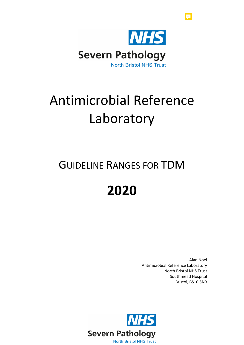

# Antimicrobial Reference Laboratory

# GUIDELINE RANGES FOR TDM

# **2020**

Alan Noel Antimicrobial Reference Laboratory North Bristol NHS Trust Southmead Hospital Bristol, BS10 5NB

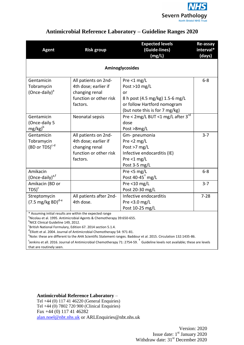

| <b>Agent</b>                                           | <b>Risk group</b>                                                                                    | <b>Expected levels</b><br>(Guide-lines)<br>(mg/L)                                                                                        | Re-assay<br>interval*<br>(days) |
|--------------------------------------------------------|------------------------------------------------------------------------------------------------------|------------------------------------------------------------------------------------------------------------------------------------------|---------------------------------|
| Aminoglycosides                                        |                                                                                                      |                                                                                                                                          |                                 |
| Gentamicin<br>Tobramycin<br>(Once-daily) <sup>a</sup>  | All patients on 2nd-<br>4th dose; earlier if<br>changing renal<br>function or other risk<br>factors. | Pre <1 $mg/L$<br>Post >10 mg/L<br>or<br>8 h post (4.5 mg/kg) 1.5-6 mg/L<br>or follow Hartford nomogram<br>(but note this is for 7 mg/kg) | $6 - 8$                         |
| Gentamicin<br>(Once-daily 5<br>mg/kg) <sup>b</sup>     | Neonatal sepsis                                                                                      | Pre < 2mg/L BUT <1 mg/L after 3rd<br>dose<br>Post >8mg/L                                                                                 |                                 |
| Gentamicin<br>Tobramycin<br>(BD or TDS) <sup>c-d</sup> | All patients on 2nd-<br>4th dose; earlier if<br>changing renal<br>function or other risk<br>factors. | Gm- pneumonia<br>Pre $<$ 2 mg/L<br>Post >7 mg/L<br>Infective endocarditis (IE)<br>Pre $<$ 1 mg/L<br>Post 3-5 mg/L                        | $3 - 7$                         |
| Amikacin<br>(Once-daily) <sup>a,f</sup>                |                                                                                                      | Pre <5 mg/L<br>Post 40-45 <sup>+</sup> mg/L                                                                                              | $6 - 8$                         |
| Amikacin (BD or<br>$TDS$ <sup>c</sup>                  |                                                                                                      | Pre <10 $mg/L$<br>Post 20-30 mg/L                                                                                                        | $3 - 7$                         |
| Streptomycin<br>$(7.5 \text{ mg/kg BD})^{d-e}$         | All patients after 2nd-<br>4th dose.<br>* Accuming initial rocults are within the expected range     | Infective endocarditis<br>Pre $<$ 3.0 mg/L<br>Post 10-25 mg/L                                                                            | $7 - 28$                        |

Assuming initial results are within the expected range

<sup>a</sup>Nicolau et al. 1995. Antimicrobial Agents & Chemotherapy 39:650-655.

<sup>b</sup>NICE Clinical Guideline 149, 2012.

 $\mathrm{c}$ British National Formulary, Edition 67. 2014 section 5.1.4.

d Elliott et al. 2004. Journal of Antimicrobial Chemotherapy 54: 971-81.

<sup>e</sup>Note: these are different to the AHA Scientific Statement ranges. Baddour et al. 2015. Circulation 132:1435-86.

<sup>f</sup>Jenkins et all. 2016. Journal of Antimicrobial Chemotherapy 71: 2754-59. <sup>†</sup> Guideline levels not available; these are levels that are routinely seen.

#### **Antimicrobial Reference Laboratory** –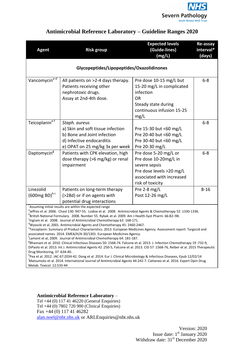

| <b>Agent</b>                                                                                                                                                                                                                                                                                                                                                                                                                                                                                                                                                                                                                                                                                                                                                                                                                                                                                                                                                                                                                                                                                                                                                                                                                  | <b>Risk group</b>                                                                                                                                 | <b>Expected levels</b><br>(Guide-lines)<br>(mg/L)                                                                                            | <b>Re-assay</b><br>interval*<br>(days) |  |
|-------------------------------------------------------------------------------------------------------------------------------------------------------------------------------------------------------------------------------------------------------------------------------------------------------------------------------------------------------------------------------------------------------------------------------------------------------------------------------------------------------------------------------------------------------------------------------------------------------------------------------------------------------------------------------------------------------------------------------------------------------------------------------------------------------------------------------------------------------------------------------------------------------------------------------------------------------------------------------------------------------------------------------------------------------------------------------------------------------------------------------------------------------------------------------------------------------------------------------|---------------------------------------------------------------------------------------------------------------------------------------------------|----------------------------------------------------------------------------------------------------------------------------------------------|----------------------------------------|--|
| Glycopeptides/Lipopeptides/Oxazolidinones                                                                                                                                                                                                                                                                                                                                                                                                                                                                                                                                                                                                                                                                                                                                                                                                                                                                                                                                                                                                                                                                                                                                                                                     |                                                                                                                                                   |                                                                                                                                              |                                        |  |
| Vancomycin <sup>a-d</sup>                                                                                                                                                                                                                                                                                                                                                                                                                                                                                                                                                                                                                                                                                                                                                                                                                                                                                                                                                                                                                                                                                                                                                                                                     | All patients on >2-4 days therapy.<br>Patients receiving other<br>nephrotoxic drugs.<br>Assay at 2nd-4th dose.                                    | Pre dose 10-15 mg/L but<br>15-20 mg/L in complicated<br>infection<br><b>OR</b><br>Steady state during<br>continuous infusion 15-25<br>mg/L   | $6 - 8$                                |  |
| Teicoplanine-f                                                                                                                                                                                                                                                                                                                                                                                                                                                                                                                                                                                                                                                                                                                                                                                                                                                                                                                                                                                                                                                                                                                                                                                                                | Staph. aureus<br>a) Skin and soft tissue infection<br>b) Bone and Joint infection<br>d) Infective endocarditis<br>e) OPAT on 25 mg/kg 3x per week | Pre 15-30 but <60 mg/L<br>Pre 20-40 but <60 mg/L<br>Pre 30-40 but <60 mg/L<br>Pre 20-30 mg/L                                                 | $6 - 8$                                |  |
| Daptomycin <sup>g</sup>                                                                                                                                                                                                                                                                                                                                                                                                                                                                                                                                                                                                                                                                                                                                                                                                                                                                                                                                                                                                                                                                                                                                                                                                       | Patients with CPK elevation, high<br>dose therapy (>6 mg/kg) or renal<br>impairment                                                               | Pre dose 5-20 mg/L or<br>Pre dose 10-20mg/L in<br>severe sepsis<br>Pre dose levels >20 mg/L<br>associated with increased<br>risk of toxicity | $6 - 8$                                |  |
| Linezolid<br>$(600mg BD)^{h-i}$                                                                                                                                                                                                                                                                                                                                                                                                                                                                                                                                                                                                                                                                                                                                                                                                                                                                                                                                                                                                                                                                                                                                                                                               | Patients on long-term therapy<br>(>28d) or if on agents with<br>potential drug interactions                                                       | Pre $2-8$ mg/L<br>Post 12-26 mg/L                                                                                                            | $8 - 16$                               |  |
| Assuming initial results are within the expected range<br><sup>a</sup> Jeffres et al. 2006. Chest 130: 947-55. Lodise et al. 2008. Antimicrobial Agents & Chemotherapy 52: 1330-1336.<br><sup>b</sup> British National Formulary. 2008. Number 55. Rybak et al. 2009. Am J Health-Syst Pharm. 66:82–98.<br><sup>c</sup> Ingram et al. 2008. Journal of Antimicrobial Chemotherapy 62: 168-171.<br><sup>d</sup> Wysocki et al, 2001. Antimicrobial Agents and Chemotherapy 45: 2460-2467.<br>eTeicoplanin: Summary of Product Characteristics. 2013. European Medicines Agency. Assessment report: Targocid and<br>associated names. 2014. EMEA/H/A-30/1301. European Medicines Agency.<br><sup>T</sup> Lamont et al, 2009. Journal of Antimicrobial Chemotherapy 64: 181-187.<br><sup>8</sup> Bhavnani et al. 2010. Clinical Infectious Diseases 50: 1568-74. Falcone et al. 2013. J. Infection Chemotherapy 19:732-9,<br>DiPaolo et al. 2013. Int J. Antimicrobial Agents 42 :250-5, Falcone et al. 2013. CID 57 :1568-76, Reiber et al. 2015 Therapeutic<br>Drug Monitoring, 37:634-40<br><sup>h</sup> Pea et al. 2012. JAC 67:2034-42. Dong et al. 2014. Eur J. Clinical Microbiology & Infectious Diseases, Epub 12/02/14 |                                                                                                                                                   |                                                                                                                                              |                                        |  |

<sup>i</sup>Matsumoto et al. 2014. International Journal of Antimicrobial Agents 44:242-7. Cattaneo et al. 2016. Expert Opin Drug Metab. Toxicol. 12:533-44

#### **Antimicrobial Reference Laboratory** –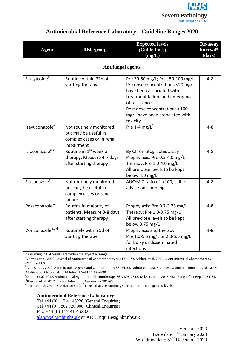

| <b>Agent</b>                  | <b>Risk group</b>                                                                          | <b>Expected levels</b><br>(Guide-lines)<br>(mg/L)                                                                                                                                                                                      | <b>Re-assay</b><br>interval*<br>(days) |  |
|-------------------------------|--------------------------------------------------------------------------------------------|----------------------------------------------------------------------------------------------------------------------------------------------------------------------------------------------------------------------------------------|----------------------------------------|--|
|                               | <b>Antifungal agents</b>                                                                   |                                                                                                                                                                                                                                        |                                        |  |
| Flucytosine <sup>a</sup>      | Routine within 72h of<br>starting therapy.                                                 | Pre 20-50 mg/L; Post 50-100 mg/L<br>Pre dose concentrations <20 mg/L<br>have been associated with<br>treatment failure and emergence<br>of resistance.<br>Post dose concentrations >100<br>mg/L have been associated with<br>toxicity. | $4 - 8$                                |  |
| Isavuconazole <sup>e</sup>    | Not routinely monitored<br>but may be useful in<br>complex cases or in renal<br>impairment | Pre 1-4 mg/L $2$                                                                                                                                                                                                                       | $4 - 8$                                |  |
| Itraconazole <sup>a-b</sup>   | Routine in 1st week of<br>therapy. Measure 4-7 days<br>after starting therapy              | By Chromatographic assay<br>Prophylaxis: Pre 0.5-4.0 mg/L<br>Therapy: Pre 1.0-4.0 mg/L<br>All pre-dose levels to be kept<br>below 4.0 mg/L                                                                                             | $4 - 8$                                |  |
| Fluconazole <sup>a</sup>      | Not routinely monitored<br>but may be useful in<br>complex cases or renal<br>failure       | AUC:MIC ratio of >100, call for<br>advice on sampling.                                                                                                                                                                                 | $4 - 8$                                |  |
| Posaconazole <sup>a-c</sup>   | Routine in majority of<br>patients. Measure 3-8 days<br>after starting therapy             | Prophylaxis: Pre 0.7-3.75 mg/L<br>Therapy: Pre 1.0-3.75 mg/L<br>All pre-dose levels to be kept<br>below 3.75 mg/L                                                                                                                      | 4-8                                    |  |
| Voriconazole <sup>a,b,d</sup> | Routinely within 5d of<br>starting therapy                                                 | Prophylaxis and therapy<br>Pre 1.0-5.5 mg/L or 2.0-5.5 mg/L<br>for bulky or disseminated<br>infections                                                                                                                                 | $4 - 8$                                |  |

\*Assuming initial results are within the expected range.

<sup>a</sup>Vermes et al. 2000. Journal of Antimicrobial Chemotherapy 46: 171-179. Ashbee et al. 2014. J. Antimicrobial Chemotherapy 69:1162-1176.

<sup>b</sup>Andes et al. 2009. Antimicrobial Agents and Chemotherapy 53: 24-34. Dolton et al. 2015.Current Opinion in Infectious Diseases 27:493-500. Chau et al. 2014 Intern Med J 44:1364-88.

c Dolton et al. 2012. Antimicrobial Agents and Chemotherapy 56: 2806-2813. Dekkers et al. 2016. Curr Fung Infect Rep 10:51-61. d Pascual et al. 2012. Clinical Infectious Diseases 55:381-90.

 $\text{e}_{\text{Pe}}$ ixoto et al. 2014. JCM 52:1016-19.  $\text{e}_{\text{P}}$  Levels that are routinely seen and not true expected levels.

#### **Antimicrobial Reference Laboratory** –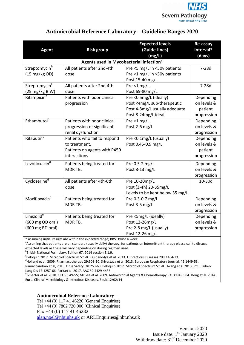

| <b>Agent</b>                                                   | <b>Risk group</b>                                                                             | <b>Expected levels</b><br>(Guide-lines)<br>(mg/L)                                                             | Re-assay<br>interval*<br>(days)                    |
|----------------------------------------------------------------|-----------------------------------------------------------------------------------------------|---------------------------------------------------------------------------------------------------------------|----------------------------------------------------|
|                                                                | Agents used in Mycobacterial infection <sup>a</sup>                                           |                                                                                                               |                                                    |
| Streptomycin <sup>b</sup><br>(15 mg/kg OD)                     | All patients after 2nd-4th<br>dose.                                                           | Pre <5 mg/L in <50y patients<br>Pre <1 mg/L in >50y patients<br>Post 15-40 mg/L                               | $7-28d$                                            |
| Streptomycin <sup>c</sup><br>(25 mg/kg BIW)                    | All patients after 2nd-4th<br>dose.                                                           | Pre <1 mg/L<br>Post 65-80 mg/L                                                                                | $7-28d$                                            |
| Rifampicin <sup>c</sup>                                        | Patients with poor clinical<br>progression                                                    | Pre <0.5mg/L (ideally)<br>Post <4mg/L sub-therapeutic<br>Post 4-8mg/L usually adequate<br>Post 8-24mg/L ideal | Depending<br>on levels &<br>patient<br>progression |
| Ethambutol <sup>c</sup>                                        | Patients with poor clinical<br>progression or significant<br>renal dysfunction                | Pre <1 $mg/L$<br>Post 2-6 mg/L                                                                                | Depending<br>on levels &<br>progression            |
| Rifabutin <sup>d</sup>                                         | Patients who fail to respond<br>to treatment.<br>Patients on agents with P450<br>interactions | Pre <0.1mg/L (usually)<br>Post 0.45-0.9 mg/L                                                                  | Depending<br>on levels &<br>patient<br>progression |
| Levofloxacin <sup>d</sup>                                      | Patients being treated for<br>MDR TB.                                                         | Pre 0.5-2 mg/L<br>Post 8-13 mg/L                                                                              | Depending<br>on levels &<br>progression            |
| Cycloserine <sup>d</sup>                                       | All patients after 4th-6th<br>dose.                                                           | Pre 10-20mg/L<br>Post (3-4h) 20-35mg/L<br>Levels to be kept below 35 mg/L                                     | 10-30d                                             |
| Moxifloxacin <sup>d</sup>                                      | Patients being treated for<br>MDR TB.                                                         | Pre 0.3-0.7 mg/L<br>Post 3-5 mg/L                                                                             | Depending<br>on levels &<br>progression            |
| Linezolid <sup>e</sup><br>(600 mg OD oral)<br>(600 mg BD oral) | Patients being treated for<br>MDR TB.                                                         | Pre <5mg/L (ideally)<br>Post 12-26mg/L<br>Pre 2-8 mg/L (usually)<br>Post 12-26 mg/L                           | Depending<br>on levels &<br>progression            |
|                                                                | * Assuming initial results are within the expected range: BIW: twice a week                   |                                                                                                               |                                                    |

\* Assuming initial results are within the expected range; BIW: twice a week

<sup>a</sup>Assuming that patients are on standard (usually daily) therapy, for patients on intermittent therapy please call to discuss expected levels as these will vary depending on dosing regimen used.

<sup>b</sup>British National Formulary, Edition 67. 2014 section 5.1.9.

<sup>c</sup> Peloquin 2017. Microbiol Spectrum 5:1-8. Pasipanodya et al. 2013. J. Infectious Diseases 208:1464-73.

<sup>d</sup>Holland et al. 2009. Pharmacotherapy 29:503-10. Srivastava et al. 2013. European Respiratory Journal, 42:1449-53.

Ramachandran et al, 2015, Drug Safety, 38:253-69. Peloquin 2017. Microbiol Spectrum 5:1-8. Hwang et al.2013. Int J. Tuberc Lung Dis 17:1257-66. Park.et al. 2017. AAC 59:4429-4435

e Schecter et al. 2010. CID 50: 49-55; McGee et al. 2009. Antimicrobial Agents & Chemotherapy 53: 3981-3984. Dong et al. 2014. Eur J. Clinical Microbiology & Infectious Diseases, Epub 12/02/14

#### **Antimicrobial Reference Laboratory** –